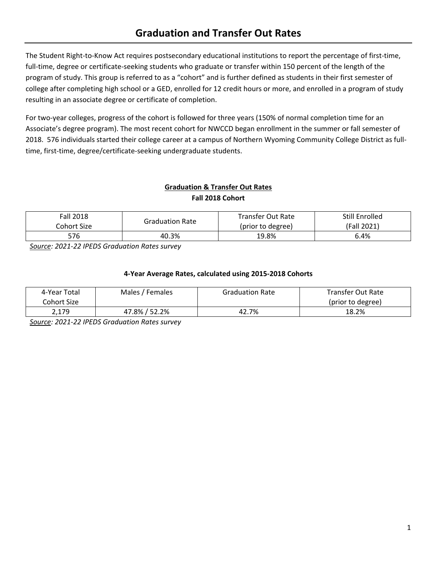# **Graduation and Transfer Out Rates**

The Student Right-to-Know Act requires postsecondary educational institutions to report the percentage of first-time, full-time, degree or certificate-seeking students who graduate or transfer within 150 percent of the length of the program of study. This group is referred to as a "cohort" and is further defined as students in their first semester of college after completing high school or a GED, enrolled for 12 credit hours or more, and enrolled in a program of study resulting in an associate degree or certificate of completion.

For two-year colleges, progress of the cohort is followed for three years (150% of normal completion time for an Associate's degree program). The most recent cohort for NWCCD began enrollment in the summer or fall semester of 2018. 576 individuals started their college career at a campus of Northern Wyoming Community College District as fulltime, first-time, degree/certificate-seeking undergraduate students.

## **Graduation & Transfer Out Rates Fall 2018 Cohort**

| <b>Fall 2018</b> | <b>Graduation Rate</b> | Transfer Out Rate | Still Enrolled |  |
|------------------|------------------------|-------------------|----------------|--|
| Cohort Size      |                        | (prior to degree) | (Fall 2021)    |  |
| 576              | 40.3%                  | 19.8%             | 6.4%           |  |

*Source: 2021-22 IPEDS Graduation Rates survey*

#### **4-Year Average Rates, calculated using 2015-2018 Cohorts**

| 4-Year Total | Males / Females | <b>Graduation Rate</b> | Transfer Out Rate |
|--------------|-----------------|------------------------|-------------------|
| Cohort Size  |                 |                        | (prior to degree) |
| 2,179        | 47.8% / 52.2%   | 42.7%                  | 18.2%             |

*Source: 2021-22 IPEDS Graduation Rates survey*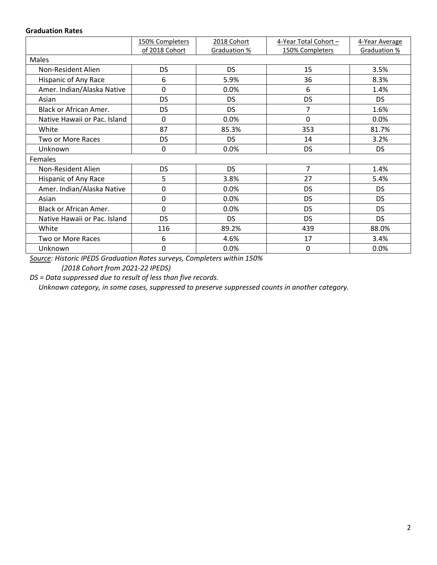#### **Graduation Rates**

|                              | 150% Completers | 2018 Cohort  | 4-Year Total Cohort - | 4-Year Average |  |  |  |
|------------------------------|-----------------|--------------|-----------------------|----------------|--|--|--|
|                              | of 2018 Cohort  | Graduation % | 150% Completers       | Graduation %   |  |  |  |
| Males                        |                 |              |                       |                |  |  |  |
| Non-Resident Alien           | <b>DS</b>       | <b>DS</b>    | 15                    | 3.5%           |  |  |  |
| Hispanic of Any Race         | 6               | 5.9%         | 36                    | 8.3%           |  |  |  |
| Amer. Indian/Alaska Native   | 0               | 0.0%         | 6                     | 1.4%           |  |  |  |
| Asian                        | <b>DS</b>       | <b>DS</b>    | <b>DS</b>             | DS.            |  |  |  |
| Black or African Amer.       | <b>DS</b>       | <b>DS</b>    | $\overline{7}$        | 1.6%           |  |  |  |
| Native Hawaii or Pac. Island | 0               | 0.0%         | $\Omega$              | $0.0\%$        |  |  |  |
| White                        | 87              | 85.3%        | 353                   | 81.7%          |  |  |  |
| Two or More Races            | <b>DS</b>       | <b>DS</b>    | 14                    | 3.2%           |  |  |  |
| Unknown                      | 0               | 0.0%         | <b>DS</b>             | <b>DS</b>      |  |  |  |
| Females                      |                 |              |                       |                |  |  |  |
| Non-Resident Alien           | <b>DS</b>       | <b>DS</b>    | $\overline{7}$        | 1.4%           |  |  |  |
| Hispanic of Any Race         | 5               | 3.8%         | 27                    | 5.4%           |  |  |  |
| Amer. Indian/Alaska Native   | 0               | 0.0%         | <b>DS</b>             | DS.            |  |  |  |
| Asian                        | 0               | 0.0%         | <b>DS</b>             | DS.            |  |  |  |
| Black or African Amer.       | 0               | 0.0%         | <b>DS</b>             | DS.            |  |  |  |
| Native Hawaii or Pac. Island | <b>DS</b>       | <b>DS</b>    | <b>DS</b>             | DS.            |  |  |  |
| White                        | 116             | 89.2%        | 439                   | 88.0%          |  |  |  |
| Two or More Races            | 6               | 4.6%         | 17                    | 3.4%           |  |  |  |
| Unknown                      | 0               | 0.0%         | 0                     | 0.0%           |  |  |  |

*Source: Historic IPEDS Graduation Rates surveys, Completers within 150% (2018 Cohort from 2021-22 IPEDS)*

*DS = Data suppressed due to result of less than five records.*

 *Unknown category, in some cases, suppressed to preserve suppressed counts in another category.*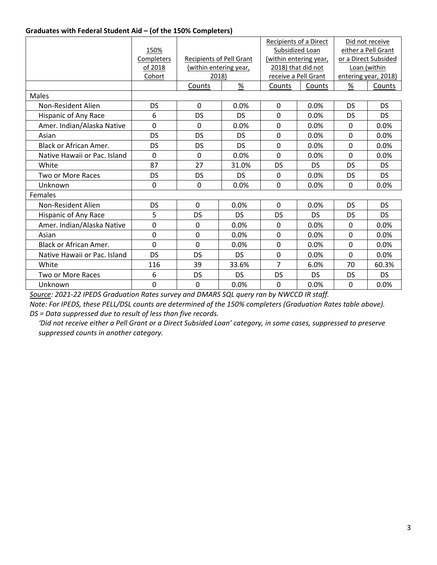#### **Graduates with Federal Student Aid – (of the 150% Completers)**

|                               |             |                                 |           | Recipients of a Direct |           | Did not receive      |           |
|-------------------------------|-------------|---------------------------------|-----------|------------------------|-----------|----------------------|-----------|
|                               | 150%        |                                 |           | Subsidized Loan        |           | either a Pell Grant  |           |
|                               | Completers  | <b>Recipients of Pell Grant</b> |           | (within entering year, |           | or a Direct Subsided |           |
|                               | of 2018     | (within entering year,          |           | 2018) that did not     |           | Loan (within         |           |
|                               | Cohort      | 2018)                           |           | receive a Pell Grant   |           | entering year, 2018) |           |
|                               |             | Counts                          | $\%$      | Counts                 | Counts    | $\%$                 | Counts    |
| Males                         |             |                                 |           |                        |           |                      |           |
| Non-Resident Alien            | DS          | 0                               | 0.0%      | 0                      | 0.0%      | <b>DS</b>            | <b>DS</b> |
| Hispanic of Any Race          | 6           | DS                              | <b>DS</b> | $\mathbf 0$            | 0.0%      | DS                   | <b>DS</b> |
| Amer. Indian/Alaska Native    | $\mathbf 0$ | $\mathbf 0$                     | 0.0%      | $\mathbf 0$            | 0.0%      | 0                    | 0.0%      |
| Asian                         | <b>DS</b>   | DS                              | <b>DS</b> | $\mathbf 0$            | 0.0%      | $\Omega$             | 0.0%      |
| <b>Black or African Amer.</b> | <b>DS</b>   | DS                              | <b>DS</b> | $\mathbf 0$            | 0.0%      | $\mathbf{0}$         | 0.0%      |
| Native Hawaii or Pac. Island  | $\Omega$    | $\mathbf 0$                     | 0.0%      | $\Omega$               | 0.0%      | $\Omega$             | 0.0%      |
| White                         | 87          | 27                              | 31.0%     | DS                     | <b>DS</b> | DS                   | DS.       |
| Two or More Races             | DS          | DS                              | <b>DS</b> | $\mathbf 0$            | 0.0%      | DS                   | <b>DS</b> |
| Unknown                       | 0           | 0                               | 0.0%      | 0                      | 0.0%      | 0                    | 0.0%      |
| Females                       |             |                                 |           |                        |           |                      |           |
| Non-Resident Alien            | <b>DS</b>   | 0                               | 0.0%      | 0                      | 0.0%      | <b>DS</b>            | <b>DS</b> |
| Hispanic of Any Race          | 5           | <b>DS</b>                       | <b>DS</b> | DS                     | <b>DS</b> | DS                   | DS.       |
| Amer. Indian/Alaska Native    | 0           | 0                               | 0.0%      | $\mathbf 0$            | 0.0%      | $\Omega$             | 0.0%      |
| Asian                         | 0           | 0                               | 0.0%      | 0                      | 0.0%      | $\Omega$             | 0.0%      |
| <b>Black or African Amer.</b> | $\Omega$    | $\Omega$                        | 0.0%      | $\overline{0}$         | 0.0%      | $\Omega$             | 0.0%      |
| Native Hawaii or Pac. Island  | <b>DS</b>   | DS                              | DS        | $\mathbf 0$            | 0.0%      | $\mathbf 0$          | 0.0%      |
| White                         | 116         | 39                              | 33.6%     | $\overline{7}$         | 6.0%      | 70                   | 60.3%     |
| Two or More Races             | 6           | <b>DS</b>                       | DS        | DS                     | <b>DS</b> | <b>DS</b>            | DS.       |
| Unknown                       | 0           | 0                               | 0.0%      | 0                      | 0.0%      | 0                    | 0.0%      |

*Source: 2021-22 IPEDS Graduation Rates survey and DMARS SQL query ran by NWCCD IR staff.*

*Note: For IPEDS, these PELL/DSL counts are determined of the 150% completers (Graduation Rates table above). DS = Data suppressed due to result of less than five records.*

 *'Did not receive either a Pell Grant or a Direct Subsided Loan' category, in some cases, suppressed to preserve suppressed counts in another category.*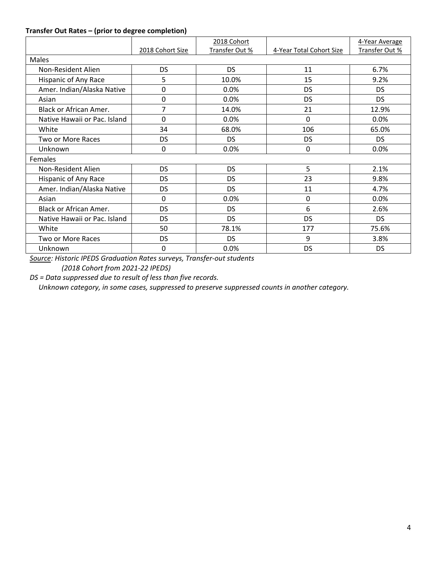## **Transfer Out Rates – (prior to degree completion)**

|                              |                  | 2018 Cohort    |                          | 4-Year Average |  |  |  |
|------------------------------|------------------|----------------|--------------------------|----------------|--|--|--|
|                              | 2018 Cohort Size | Transfer Out % | 4-Year Total Cohort Size | Transfer Out % |  |  |  |
| Males                        |                  |                |                          |                |  |  |  |
| Non-Resident Alien           | <b>DS</b>        | <b>DS</b>      | 11                       | 6.7%           |  |  |  |
| Hispanic of Any Race         | 5                | 10.0%          | 15                       | 9.2%           |  |  |  |
| Amer. Indian/Alaska Native   | 0                | 0.0%           | <b>DS</b>                | DS.            |  |  |  |
| Asian                        | 0                | 0.0%           | <b>DS</b>                | DS.            |  |  |  |
| Black or African Amer.       | 7                | 14.0%          | 21                       | 12.9%          |  |  |  |
| Native Hawaii or Pac. Island | $\Omega$         | 0.0%           | 0                        | 0.0%           |  |  |  |
| White                        | 34               | 68.0%          | 106                      | 65.0%          |  |  |  |
| Two or More Races            | <b>DS</b>        | <b>DS</b>      | <b>DS</b>                | DS.            |  |  |  |
| Unknown                      | 0                | 0.0%           | 0                        | 0.0%           |  |  |  |
| Females                      |                  |                |                          |                |  |  |  |
| Non-Resident Alien           | <b>DS</b>        | <b>DS</b>      | 5                        | 2.1%           |  |  |  |
| Hispanic of Any Race         | <b>DS</b>        | DS             | 23                       | 9.8%           |  |  |  |
| Amer. Indian/Alaska Native   | <b>DS</b>        | <b>DS</b>      | 11                       | 4.7%           |  |  |  |
| Asian                        | 0                | 0.0%           | 0                        | 0.0%           |  |  |  |
| Black or African Amer.       | <b>DS</b>        | DS             | 6                        | 2.6%           |  |  |  |
| Native Hawaii or Pac. Island | <b>DS</b>        | <b>DS</b>      | <b>DS</b>                | DS.            |  |  |  |
| White                        | 50               | 78.1%          | 177                      | 75.6%          |  |  |  |
| Two or More Races            | <b>DS</b>        | <b>DS</b>      | 9                        | 3.8%           |  |  |  |
| Unknown                      | 0                | 0.0%           | <b>DS</b>                | <b>DS</b>      |  |  |  |

*Source: Historic IPEDS Graduation Rates surveys, Transfer-out students (2018 Cohort from 2021-22 IPEDS)*

*DS = Data suppressed due to result of less than five records.*

 *Unknown category, in some cases, suppressed to preserve suppressed counts in another category.*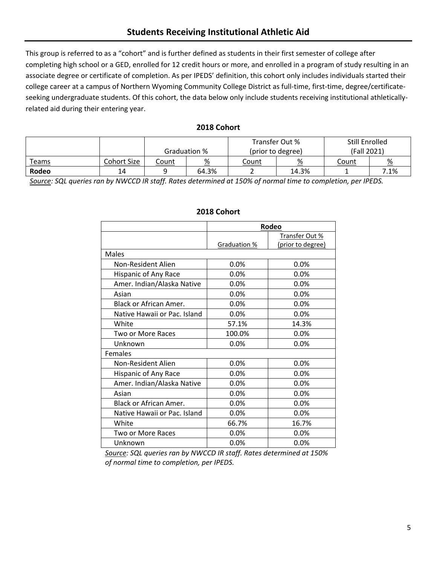This group is referred to as a "cohort" and is further defined as students in their first semester of college after completing high school or a GED, enrolled for 12 credit hours or more, and enrolled in a program of study resulting in an associate degree or certificate of completion. As per IPEDS' definition, this cohort only includes individuals started their college career at a campus of Northern Wyoming Community College District as full-time, first-time, degree/certificateseeking undergraduate students. Of this cohort, the data below only include students receiving institutional athleticallyrelated aid during their entering year.

#### **2018 Cohort**

|              |             | Transfer Out % |              | Still Enrolled    |       |             |                 |
|--------------|-------------|----------------|--------------|-------------------|-------|-------------|-----------------|
|              |             |                | Graduation % | (prior to degree) |       | (Fall 2021) |                 |
| <u>Teams</u> | Cohort Size | Count          | %            | Count             | %     | Count       | $\frac{\%}{\%}$ |
| Rodeo        | 14          |                | 64.3%        |                   | 14.3% |             | 7.1%            |

*Source: SQL queries ran by NWCCD IR staff. Rates determined at 150% of normal time to completion, per IPEDS.*

|                               | Rodeo        |                   |  |
|-------------------------------|--------------|-------------------|--|
|                               |              | Transfer Out %    |  |
|                               | Graduation % | (prior to degree) |  |
| Males                         |              |                   |  |
| Non-Resident Alien            | 0.0%         | $0.0\%$           |  |
| Hispanic of Any Race          | 0.0%         | 0.0%              |  |
| Amer. Indian/Alaska Native    | 0.0%         | 0.0%              |  |
| Asian                         | 0.0%         | 0.0%              |  |
| Black or African Amer.        | 0.0%         | 0.0%              |  |
| Native Hawaii or Pac. Island  | 0.0%         | 0.0%              |  |
| White                         | 57.1%        | 14.3%             |  |
| Two or More Races             | 100.0%       | 0.0%              |  |
| Unknown                       | 0.0%         | 0.0%              |  |
| Females                       |              |                   |  |
| Non-Resident Alien            | 0.0%         | 0.0%              |  |
| Hispanic of Any Race          | 0.0%         | 0.0%              |  |
| Amer. Indian/Alaska Native    | 0.0%         | 0.0%              |  |
| Asian                         | 0.0%         | 0.0%              |  |
| <b>Black or African Amer.</b> | 0.0%         | 0.0%              |  |
| Native Hawaii or Pac. Island  | 0.0%         | $0.0\%$           |  |
| White                         | 66.7%        | 16.7%             |  |
| Two or More Races             | 0.0%         | 0.0%              |  |
| Unknown                       | 0.0%         | 0.0%              |  |

# **2018 Cohort**

*Source: SQL queries ran by NWCCD IR staff. Rates determined at 150% of normal time to completion, per IPEDS.*